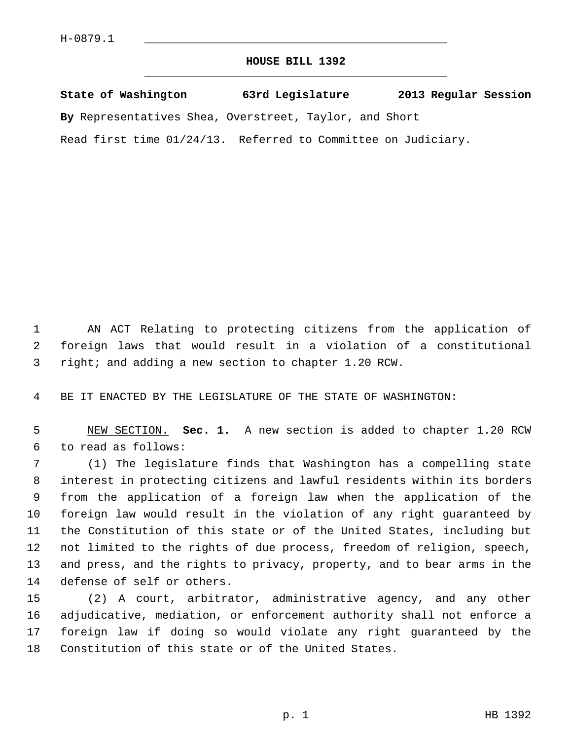## **HOUSE BILL 1392** \_\_\_\_\_\_\_\_\_\_\_\_\_\_\_\_\_\_\_\_\_\_\_\_\_\_\_\_\_\_\_\_\_\_\_\_\_\_\_\_\_\_\_\_\_

**State of Washington 63rd Legislature 2013 Regular Session**

**By** Representatives Shea, Overstreet, Taylor, and Short

Read first time 01/24/13. Referred to Committee on Judiciary.

 1 AN ACT Relating to protecting citizens from the application of 2 foreign laws that would result in a violation of a constitutional 3 right; and adding a new section to chapter 1.20 RCW.

4 BE IT ENACTED BY THE LEGISLATURE OF THE STATE OF WASHINGTON:

 5 NEW SECTION. **Sec. 1.** A new section is added to chapter 1.20 RCW 6 to read as follows:

 7 (1) The legislature finds that Washington has a compelling state 8 interest in protecting citizens and lawful residents within its borders 9 from the application of a foreign law when the application of the 10 foreign law would result in the violation of any right guaranteed by 11 the Constitution of this state or of the United States, including but 12 not limited to the rights of due process, freedom of religion, speech, 13 and press, and the rights to privacy, property, and to bear arms in the 14 defense of self or others.

15 (2) A court, arbitrator, administrative agency, and any other 16 adjudicative, mediation, or enforcement authority shall not enforce a 17 foreign law if doing so would violate any right guaranteed by the 18 Constitution of this state or of the United States.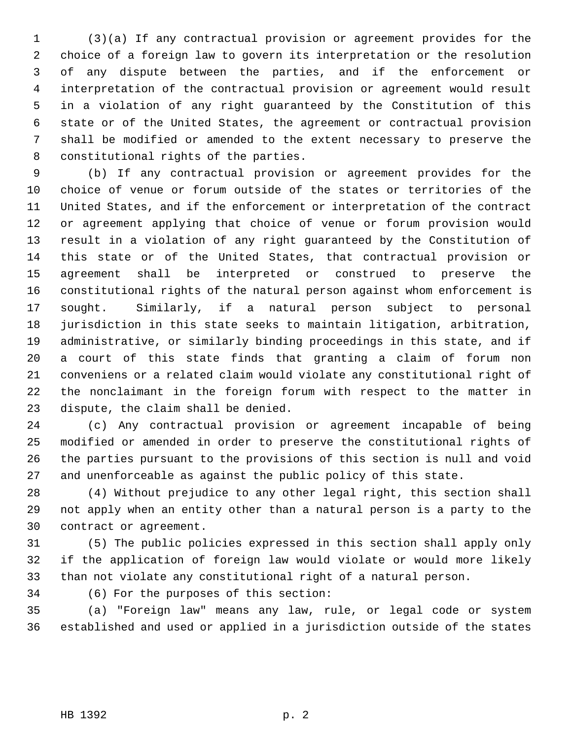1 (3)(a) If any contractual provision or agreement provides for the 2 choice of a foreign law to govern its interpretation or the resolution 3 of any dispute between the parties, and if the enforcement or 4 interpretation of the contractual provision or agreement would result 5 in a violation of any right guaranteed by the Constitution of this 6 state or of the United States, the agreement or contractual provision 7 shall be modified or amended to the extent necessary to preserve the 8 constitutional rights of the parties.

 9 (b) If any contractual provision or agreement provides for the 10 choice of venue or forum outside of the states or territories of the 11 United States, and if the enforcement or interpretation of the contract 12 or agreement applying that choice of venue or forum provision would 13 result in a violation of any right guaranteed by the Constitution of 14 this state or of the United States, that contractual provision or 15 agreement shall be interpreted or construed to preserve the 16 constitutional rights of the natural person against whom enforcement is 17 sought. Similarly, if a natural person subject to personal 18 jurisdiction in this state seeks to maintain litigation, arbitration, 19 administrative, or similarly binding proceedings in this state, and if 20 a court of this state finds that granting a claim of forum non 21 conveniens or a related claim would violate any constitutional right of 22 the nonclaimant in the foreign forum with respect to the matter in 23 dispute, the claim shall be denied.

24 (c) Any contractual provision or agreement incapable of being 25 modified or amended in order to preserve the constitutional rights of 26 the parties pursuant to the provisions of this section is null and void 27 and unenforceable as against the public policy of this state.

28 (4) Without prejudice to any other legal right, this section shall 29 not apply when an entity other than a natural person is a party to the 30 contract or agreement.

31 (5) The public policies expressed in this section shall apply only 32 if the application of foreign law would violate or would more likely 33 than not violate any constitutional right of a natural person.

34 (6) For the purposes of this section:

35 (a) "Foreign law" means any law, rule, or legal code or system 36 established and used or applied in a jurisdiction outside of the states